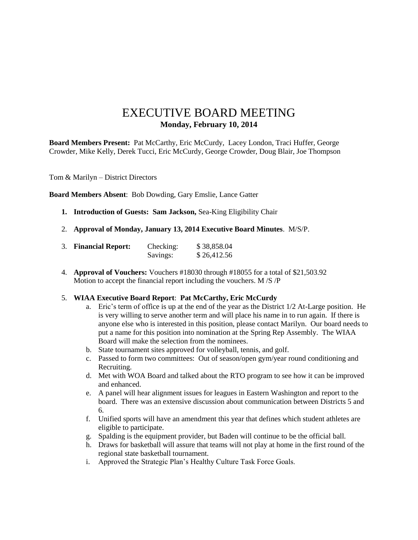# EXECUTIVE BOARD MEETING **Monday, February 10, 2014**

**Board Members Present:** Pat McCarthy, Eric McCurdy, Lacey London, Traci Huffer, George Crowder, Mike Kelly, Derek Tucci, Eric McCurdy, George Crowder, Doug Blair, Joe Thompson

Tom & Marilyn – District Directors

**Board Members Absent**: Bob Dowding, Gary Emslie, Lance Gatter

- **1. Introduction of Guests: Sam Jackson,** Sea-King Eligibility Chair
- 2. **Approval of Monday, January 13, 2014 Executive Board Minutes**. M/S/P.

| 3. Financial Report: | Checking: | \$38,858.04 |
|----------------------|-----------|-------------|
|                      | Savings:  | \$26,412.56 |

4. **Approval of Vouchers:** Vouchers #18030 through #18055 for a total of \$21,503.92 Motion to accept the financial report including the vouchers. M /S /P

#### 5. **WIAA Executive Board Report**: **Pat McCarthy, Eric McCurdy**

- a. Eric's term of office is up at the end of the year as the District  $1/2$  At-Large position. He is very willing to serve another term and will place his name in to run again. If there is anyone else who is interested in this position, please contact Marilyn. Our board needs to put a name for this position into nomination at the Spring Rep Assembly. The WIAA Board will make the selection from the nominees.
- b. State tournament sites approved for volleyball, tennis, and golf.
- c. Passed to form two committees: Out of season/open gym/year round conditioning and Recruiting.
- d. Met with WOA Board and talked about the RTO program to see how it can be improved and enhanced.
- e. A panel will hear alignment issues for leagues in Eastern Washington and report to the board. There was an extensive discussion about communication between Districts 5 and 6.
- f. Unified sports will have an amendment this year that defines which student athletes are eligible to participate.
- g. Spalding is the equipment provider, but Baden will continue to be the official ball.
- h. Draws for basketball will assure that teams will not play at home in the first round of the regional state basketball tournament.
- i. Approved the Strategic Plan's Healthy Culture Task Force Goals.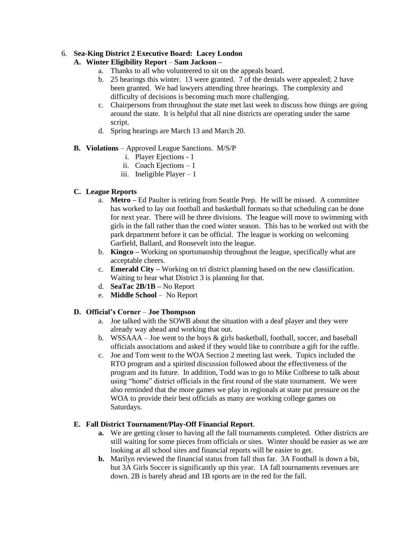### 6. **Sea-King District 2 Executive Board: Lacey London**

## **A. Winter Eligibility Report** – **Sam Jackson –**

- a. Thanks to all who volunteered to sit on the appeals board.
- b. 25 hearings this winter. 13 were granted. 7 of the denials were appealed; 2 have been granted. We had lawyers attending three hearings. The complexity and difficulty of decisions is becoming much more challenging.
- c. Chairpersons from throughout the state met last week to discuss how things are going around the state. It is helpful that all nine districts are operating under the same script.
- d. Spring hearings are March 13 and March 20.

### **B. Violations** – Approved League Sanctions. M/S/P

- i. Player Ejections 1
- ii. Coach Ejections 1
- iii. Ineligible Player  $-1$

# **C. League Reports**

- a. **Metro –** Ed Paulter is retiring from Seattle Prep. He will be missed. A committee has worked to lay out football and basketball formats so that scheduling can be done for next year. There will be three divisions. The league will move to swimming with girls in the fall rather than the coed winter season. This has to be worked out with the park department before it can be official. The league is working on welcoming Garfield, Ballard, and Roosevelt into the league.
- b. **Kingco –** Working on sportsmanship throughout the league, specifically what are acceptable cheers.
- c. **Emerald City –** Working on tri district planning based on the new classification. Waiting to hear what District 3 is planning for that.
- d. **SeaTac 2B/1B –** No Report
- e. **Middle School** No Report

# **D. Official's Corner** – **Joe Thompson**

- a. Joe talked with the SOWB about the situation with a deaf player and they were already way ahead and working that out.
- b. WSSAAA Joe went to the boys & girls basketball, football, soccer, and baseball officials associations and asked if they would like to contribute a gift for the raffle.
- c. Joe and Tom went to the WOA Section 2 meeting last week. Topics included the RTO program and a spirited discussion followed about the effectiveness of the program and its future. In addition, Todd was to go to Mike Colbrese to talk about using "home" district officials in the first round of the state tournament. We were also reminded that the more games we play in regionals at state put pressure on the WOA to provide their best officials as many are working college games on Saturdays.

#### **E. Fall District Tournament/Play-Off Financial Report**.

- **a.** We are getting closer to having all the fall tournaments completed. Other districts are still waiting for some pieces from officials or sites. Winter should be easier as we are looking at all school sites and financial reports will be easier to get.
- **b.** Marilyn reviewed the financial status from fall thus far. 3A Football is down a bit, but 3A Girls Soccer is significantly up this year. 1A fall tournaments revenues are down. 2B is barely ahead and 1B sports are in the red for the fall.